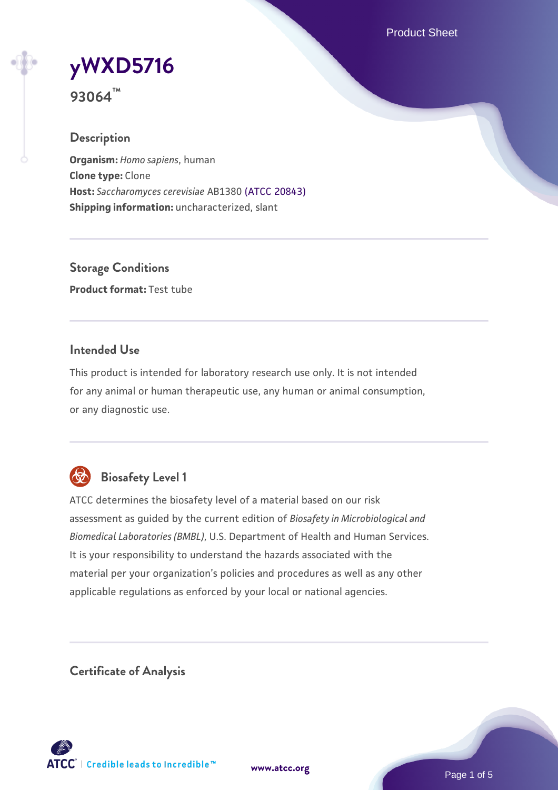Product Sheet

# **[yWXD5716](https://www.atcc.org/products/93064)**

**93064™**

## **Description**

**Organism:** *Homo sapiens*, human **Clone type:** Clone **Host:** *Saccharomyces cerevisiae* AB1380 [\(ATCC 20843\)](https://www.atcc.org/products/20843) **Shipping information:** uncharacterized, slant

**Storage Conditions Product format:** Test tube

## **Intended Use**

This product is intended for laboratory research use only. It is not intended for any animal or human therapeutic use, any human or animal consumption, or any diagnostic use.



## **Biosafety Level 1**

ATCC determines the biosafety level of a material based on our risk assessment as guided by the current edition of *Biosafety in Microbiological and Biomedical Laboratories (BMBL)*, U.S. Department of Health and Human Services. It is your responsibility to understand the hazards associated with the material per your organization's policies and procedures as well as any other applicable regulations as enforced by your local or national agencies.

**Certificate of Analysis**

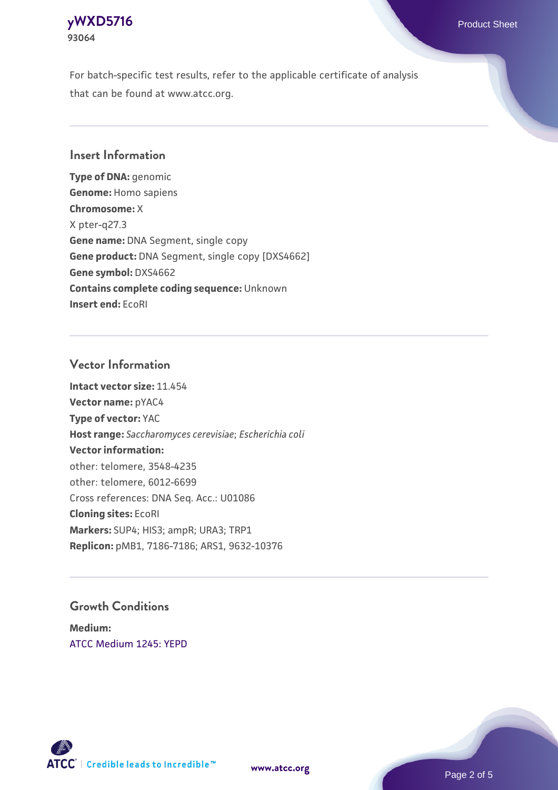## **[yWXD5716](https://www.atcc.org/products/93064)** Product Sheet **93064**

For batch-specific test results, refer to the applicable certificate of analysis that can be found at www.atcc.org.

## **Insert Information**

**Type of DNA:** genomic **Genome:** Homo sapiens **Chromosome:** X X pter-q27.3 **Gene name:** DNA Segment, single copy **Gene product:** DNA Segment, single copy [DXS4662] **Gene symbol:** DXS4662 **Contains complete coding sequence:** Unknown **Insert end:** EcoRI

## **Vector Information**

**Intact vector size:** 11.454 **Vector name:** pYAC4 **Type of vector:** YAC **Host range:** *Saccharomyces cerevisiae*; *Escherichia coli* **Vector information:** other: telomere, 3548-4235 other: telomere, 6012-6699 Cross references: DNA Seq. Acc.: U01086 **Cloning sites:** EcoRI **Markers:** SUP4; HIS3; ampR; URA3; TRP1 **Replicon:** pMB1, 7186-7186; ARS1, 9632-10376

## **Growth Conditions**

**Medium:**  [ATCC Medium 1245: YEPD](https://www.atcc.org/-/media/product-assets/documents/microbial-media-formulations/1/2/4/5/atcc-medium-1245.pdf?rev=705ca55d1b6f490a808a965d5c072196)



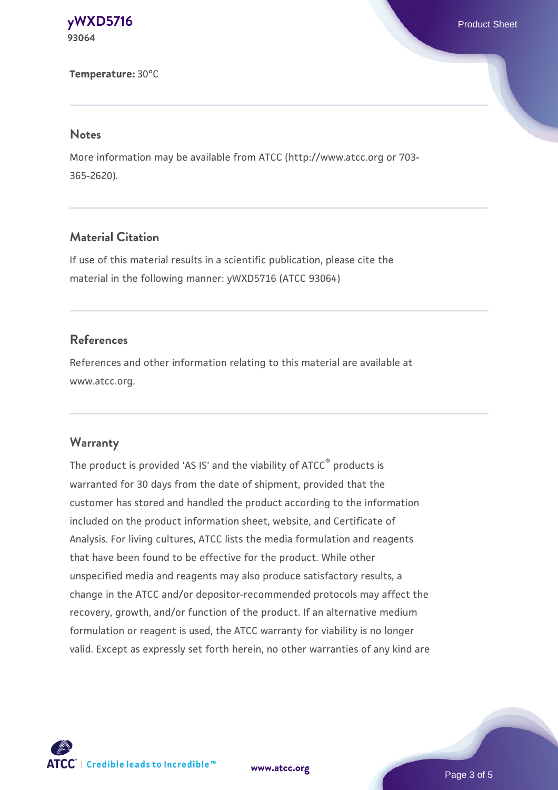**[yWXD5716](https://www.atcc.org/products/93064)** Product Sheet **93064**

**Temperature:** 30°C

#### **Notes**

More information may be available from ATCC (http://www.atcc.org or 703- 365-2620).

## **Material Citation**

If use of this material results in a scientific publication, please cite the material in the following manner: yWXD5716 (ATCC 93064)

## **References**

References and other information relating to this material are available at www.atcc.org.

## **Warranty**

The product is provided 'AS IS' and the viability of ATCC® products is warranted for 30 days from the date of shipment, provided that the customer has stored and handled the product according to the information included on the product information sheet, website, and Certificate of Analysis. For living cultures, ATCC lists the media formulation and reagents that have been found to be effective for the product. While other unspecified media and reagents may also produce satisfactory results, a change in the ATCC and/or depositor-recommended protocols may affect the recovery, growth, and/or function of the product. If an alternative medium formulation or reagent is used, the ATCC warranty for viability is no longer valid. Except as expressly set forth herein, no other warranties of any kind are

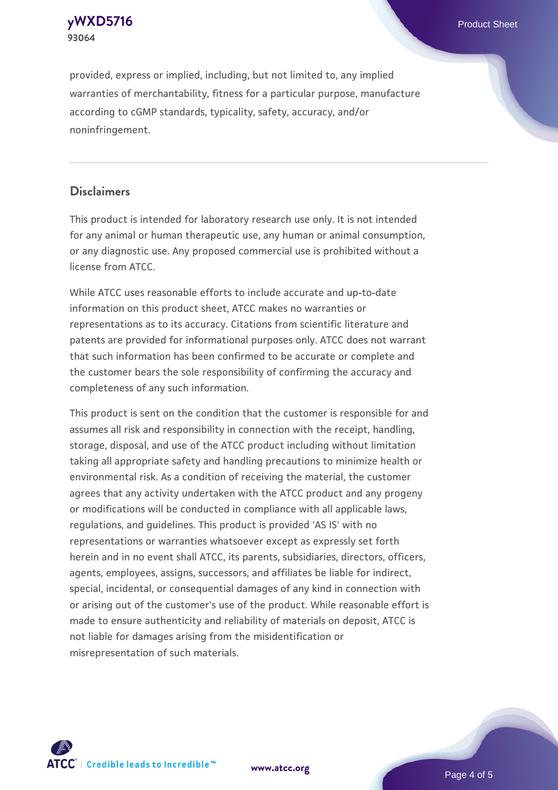**[yWXD5716](https://www.atcc.org/products/93064)** Product Sheet **93064**

provided, express or implied, including, but not limited to, any implied warranties of merchantability, fitness for a particular purpose, manufacture according to cGMP standards, typicality, safety, accuracy, and/or noninfringement.

## **Disclaimers**

This product is intended for laboratory research use only. It is not intended for any animal or human therapeutic use, any human or animal consumption, or any diagnostic use. Any proposed commercial use is prohibited without a license from ATCC.

While ATCC uses reasonable efforts to include accurate and up-to-date information on this product sheet, ATCC makes no warranties or representations as to its accuracy. Citations from scientific literature and patents are provided for informational purposes only. ATCC does not warrant that such information has been confirmed to be accurate or complete and the customer bears the sole responsibility of confirming the accuracy and completeness of any such information.

This product is sent on the condition that the customer is responsible for and assumes all risk and responsibility in connection with the receipt, handling, storage, disposal, and use of the ATCC product including without limitation taking all appropriate safety and handling precautions to minimize health or environmental risk. As a condition of receiving the material, the customer agrees that any activity undertaken with the ATCC product and any progeny or modifications will be conducted in compliance with all applicable laws, regulations, and guidelines. This product is provided 'AS IS' with no representations or warranties whatsoever except as expressly set forth herein and in no event shall ATCC, its parents, subsidiaries, directors, officers, agents, employees, assigns, successors, and affiliates be liable for indirect, special, incidental, or consequential damages of any kind in connection with or arising out of the customer's use of the product. While reasonable effort is made to ensure authenticity and reliability of materials on deposit, ATCC is not liable for damages arising from the misidentification or misrepresentation of such materials.



**[www.atcc.org](http://www.atcc.org)**

Page 4 of 5